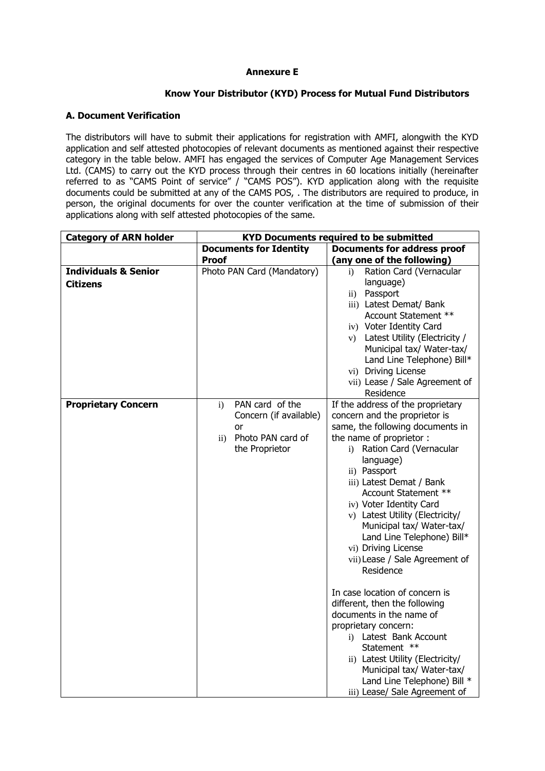### **Annexure E**

## **Know Your Distributor (KYD) Process for Mutual Fund Distributors**

## **A. Document Verification**

The distributors will have to submit their applications for registration with AMFI, alongwith the KYD application and self attested photocopies of relevant documents as mentioned against their respective category in the table below. AMFI has engaged the services of Computer Age Management Services Ltd. (CAMS) to carry out the KYD process through their centres in 60 locations initially (hereinafter referred to as "CAMS Point of service" / "CAMS POS"). KYD application along with the requisite documents could be submitted at any of the CAMS POS, . The distributors are required to produce, in person, the original documents for over the counter verification at the time of submission of their applications along with self attested photocopies of the same.

| <b>Category of ARN holder</b>                      | <b>KYD Documents required to be submitted</b>                                                                       |                                                                                                                                                                                                                                                                                                                                                                                                                                                                                                                                                                                                                                                                                                                                                    |
|----------------------------------------------------|---------------------------------------------------------------------------------------------------------------------|----------------------------------------------------------------------------------------------------------------------------------------------------------------------------------------------------------------------------------------------------------------------------------------------------------------------------------------------------------------------------------------------------------------------------------------------------------------------------------------------------------------------------------------------------------------------------------------------------------------------------------------------------------------------------------------------------------------------------------------------------|
|                                                    | <b>Documents for Identity</b>                                                                                       | <b>Documents for address proof</b>                                                                                                                                                                                                                                                                                                                                                                                                                                                                                                                                                                                                                                                                                                                 |
|                                                    | <b>Proof</b>                                                                                                        | (any one of the following)                                                                                                                                                                                                                                                                                                                                                                                                                                                                                                                                                                                                                                                                                                                         |
| <b>Individuals &amp; Senior</b><br><b>Citizens</b> | Photo PAN Card (Mandatory)                                                                                          | Ration Card (Vernacular<br>$\ddot{1}$<br>language)<br>Passport<br>$\rm ii)$<br>iii) Latest Demat/ Bank<br>Account Statement **<br>iv) Voter Identity Card<br>v) Latest Utility (Electricity /<br>Municipal tax/ Water-tax/<br>Land Line Telephone) Bill*<br>vi) Driving License<br>vii) Lease / Sale Agreement of<br>Residence                                                                                                                                                                                                                                                                                                                                                                                                                     |
| <b>Proprietary Concern</b>                         | PAN card of the<br>$\mathbf{i}$<br>Concern (if available)<br>or<br>Photo PAN card of<br>$\rm ii)$<br>the Proprietor | If the address of the proprietary<br>concern and the proprietor is<br>same, the following documents in<br>the name of proprietor :<br>i) Ration Card (Vernacular<br>language)<br>ii) Passport<br>iii) Latest Demat / Bank<br>Account Statement **<br>iv) Voter Identity Card<br>v) Latest Utility (Electricity/<br>Municipal tax/ Water-tax/<br>Land Line Telephone) Bill*<br>vi) Driving License<br>vii) Lease / Sale Agreement of<br>Residence<br>In case location of concern is<br>different, then the following<br>documents in the name of<br>proprietary concern:<br>i) Latest Bank Account<br>Statement **<br>ii) Latest Utility (Electricity/<br>Municipal tax/ Water-tax/<br>Land Line Telephone) Bill *<br>iii) Lease/ Sale Agreement of |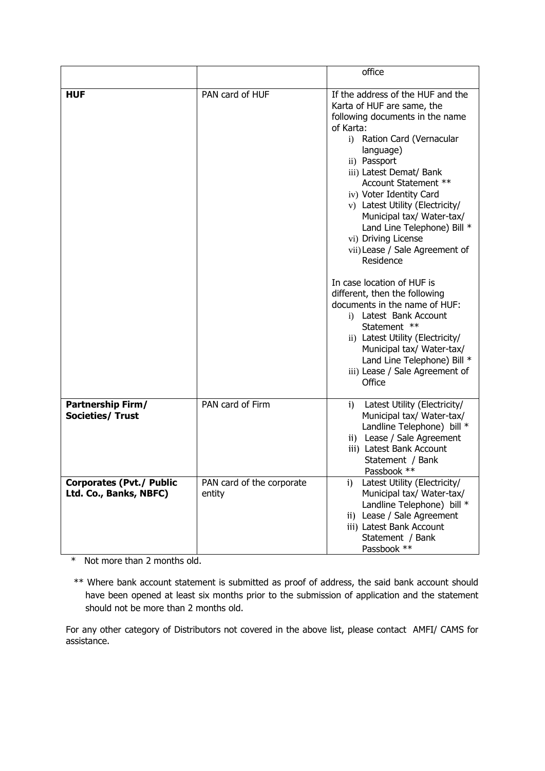|                                                           |                                     | office                                                                                                                                                                                                                                                                                                                                                                                                                                                                                                                                                                                                                                                                                                              |
|-----------------------------------------------------------|-------------------------------------|---------------------------------------------------------------------------------------------------------------------------------------------------------------------------------------------------------------------------------------------------------------------------------------------------------------------------------------------------------------------------------------------------------------------------------------------------------------------------------------------------------------------------------------------------------------------------------------------------------------------------------------------------------------------------------------------------------------------|
| <b>HUF</b>                                                | PAN card of HUF                     | If the address of the HUF and the<br>Karta of HUF are same, the<br>following documents in the name<br>of Karta:<br>i) Ration Card (Vernacular<br>language)<br>ii) Passport<br>iii) Latest Demat/ Bank<br>Account Statement **<br>iv) Voter Identity Card<br>v) Latest Utility (Electricity/<br>Municipal tax/ Water-tax/<br>Land Line Telephone) Bill *<br>vi) Driving License<br>vii) Lease / Sale Agreement of<br>Residence<br>In case location of HUF is<br>different, then the following<br>documents in the name of HUF:<br>i) Latest Bank Account<br>Statement **<br>ii) Latest Utility (Electricity/<br>Municipal tax/ Water-tax/<br>Land Line Telephone) Bill *<br>iii) Lease / Sale Agreement of<br>Office |
| Partnership Firm/<br><b>Societies/ Trust</b>              | PAN card of Firm                    | Latest Utility (Electricity/<br>$\mathbf{i}$<br>Municipal tax/ Water-tax/<br>Landline Telephone) bill *<br>ii) Lease / Sale Agreement<br>iii) Latest Bank Account<br>Statement / Bank<br>Passbook **                                                                                                                                                                                                                                                                                                                                                                                                                                                                                                                |
| <b>Corporates (Pvt./ Public</b><br>Ltd. Co., Banks, NBFC) | PAN card of the corporate<br>entity | Latest Utility (Electricity/<br>i)<br>Municipal tax/ Water-tax/<br>Landline Telephone) bill *<br>ii) Lease / Sale Agreement<br>iii) Latest Bank Account<br>Statement / Bank<br>Passbook **                                                                                                                                                                                                                                                                                                                                                                                                                                                                                                                          |

\* Not more than 2 months old.

\*\* Where bank account statement is submitted as proof of address, the said bank account should have been opened at least six months prior to the submission of application and the statement should not be more than 2 months old.

For any other category of Distributors not covered in the above list, please contact AMFI/ CAMS for assistance.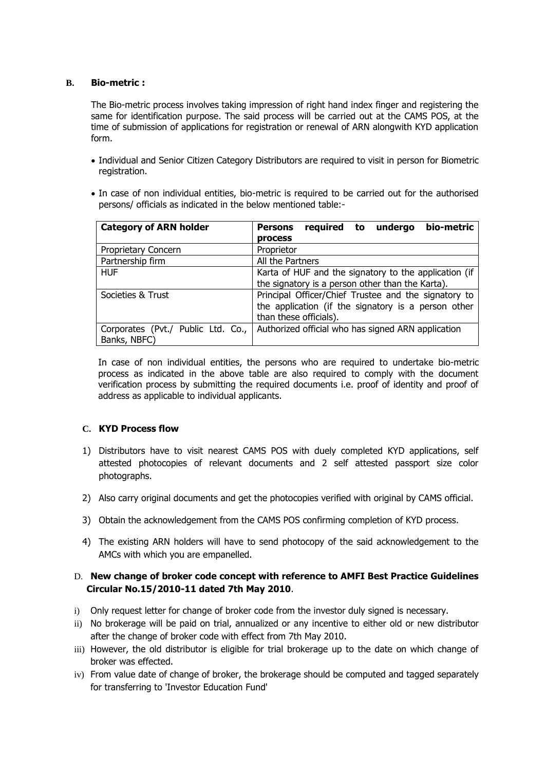#### **B. Bio-metric :**

The Bio-metric process involves taking impression of right hand index finger and registering the same for identification purpose. The said process will be carried out at the CAMS POS, at the time of submission of applications for registration or renewal of ARN alongwith KYD application form.

- Individual and Senior Citizen Category Distributors are required to visit in person for Biometric registration.
- In case of non individual entities, bio-metric is required to be carried out for the authorised persons/ officials as indicated in the below mentioned table:-

| <b>Category of ARN holder</b>      | bio-metric<br>required<br>undergo<br><b>Persons</b><br>to |
|------------------------------------|-----------------------------------------------------------|
|                                    | <b>process</b>                                            |
| Proprietary Concern                | Proprietor                                                |
| Partnership firm                   | All the Partners                                          |
| <b>HUF</b>                         | Karta of HUF and the signatory to the application (if     |
|                                    | the signatory is a person other than the Karta).          |
| Societies & Trust                  | Principal Officer/Chief Trustee and the signatory to      |
|                                    | the application (if the signatory is a person other       |
|                                    | than these officials).                                    |
| Corporates (Pvt./ Public Ltd. Co., | Authorized official who has signed ARN application        |
| Banks, NBFC)                       |                                                           |

In case of non individual entities, the persons who are required to undertake bio-metric process as indicated in the above table are also required to comply with the document verification process by submitting the required documents i.e. proof of identity and proof of address as applicable to individual applicants.

#### **C. KYD Process flow**

- 1) Distributors have to visit nearest CAMS POS with duely completed KYD applications, self attested photocopies of relevant documents and 2 self attested passport size color photographs.
- 2) Also carry original documents and get the photocopies verified with original by CAMS official.
- 3) Obtain the acknowledgement from the CAMS POS confirming completion of KYD process.
- 4) The existing ARN holders will have to send photocopy of the said acknowledgement to the AMCs with which you are empanelled.

# D. **New change of broker code concept with reference to AMFI Best Practice Guidelines Circular No.15/2010-11 dated 7th May 2010**.

- i) Only request letter for change of broker code from the investor duly signed is necessary.
- ii) No brokerage will be paid on trial, annualized or any incentive to either old or new distributor after the change of broker code with effect from 7th May 2010.
- iii) However, the old distributor is eligible for trial brokerage up to the date on which change of broker was effected.
- iv) From value date of change of broker, the brokerage should be computed and tagged separately for transferring to 'Investor Education Fund'